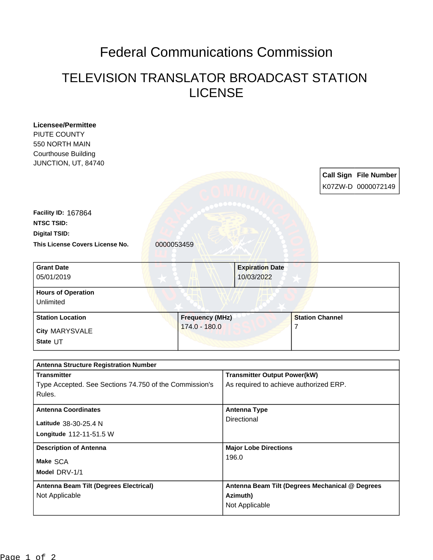## Federal Communications Commission

## TELEVISION TRANSLATOR BROADCAST STATION LICENSE

| PIUTE COUNTY                                           |                        |                                        |                                                 |
|--------------------------------------------------------|------------------------|----------------------------------------|-------------------------------------------------|
| 550 NORTH MAIN                                         |                        |                                        |                                                 |
| <b>Courthouse Building</b>                             |                        |                                        |                                                 |
| JUNCTION, UT, 84740                                    |                        |                                        |                                                 |
|                                                        |                        |                                        | <b>Call Sign File Number</b>                    |
|                                                        |                        |                                        | K07ZW-D 0000072149                              |
|                                                        |                        |                                        |                                                 |
| Facility ID: 167864                                    |                        |                                        |                                                 |
| <b>NTSC TSID:</b>                                      |                        |                                        |                                                 |
| <b>Digital TSID:</b>                                   |                        |                                        |                                                 |
| This License Covers License No.                        | 0000053459             |                                        |                                                 |
|                                                        |                        |                                        |                                                 |
| <b>Grant Date</b>                                      |                        | <b>Expiration Date</b>                 |                                                 |
| 05/01/2019                                             |                        | 10/03/2022                             |                                                 |
| <b>Hours of Operation</b>                              |                        |                                        |                                                 |
| Unlimited                                              |                        |                                        |                                                 |
| <b>Station Location</b>                                | <b>Frequency (MHz)</b> |                                        | <b>Station Channel</b>                          |
| City MARYSVALE                                         | 174.0 - 180.0          |                                        | 7                                               |
| State UT                                               |                        |                                        |                                                 |
|                                                        |                        |                                        |                                                 |
|                                                        |                        |                                        |                                                 |
| <b>Antenna Structure Registration Number</b>           |                        |                                        |                                                 |
| <b>Transmitter</b>                                     |                        | <b>Transmitter Output Power(kW)</b>    |                                                 |
| Type Accepted. See Sections 74.750 of the Commission's |                        | As required to achieve authorized ERP. |                                                 |
| Rules.                                                 |                        |                                        |                                                 |
| <b>Antenna Coordinates</b>                             |                        | <b>Antenna Type</b>                    |                                                 |
|                                                        |                        | Directional                            |                                                 |
| Latitude 38-30-25.4 N                                  |                        |                                        |                                                 |
| Longitude 112-11-51.5 W                                |                        |                                        |                                                 |
| <b>Description of Antenna</b>                          |                        | <b>Major Lobe Directions</b>           |                                                 |
| Make SCA                                               |                        | 196.0                                  |                                                 |
| Model DRV-1/1                                          |                        |                                        |                                                 |
| Antenna Beam Tilt (Degrees Electrical)                 |                        |                                        | Antenna Beam Tilt (Degrees Mechanical @ Degrees |
| Not Applicable                                         |                        | Azimuth)<br>Not Applicable             |                                                 |